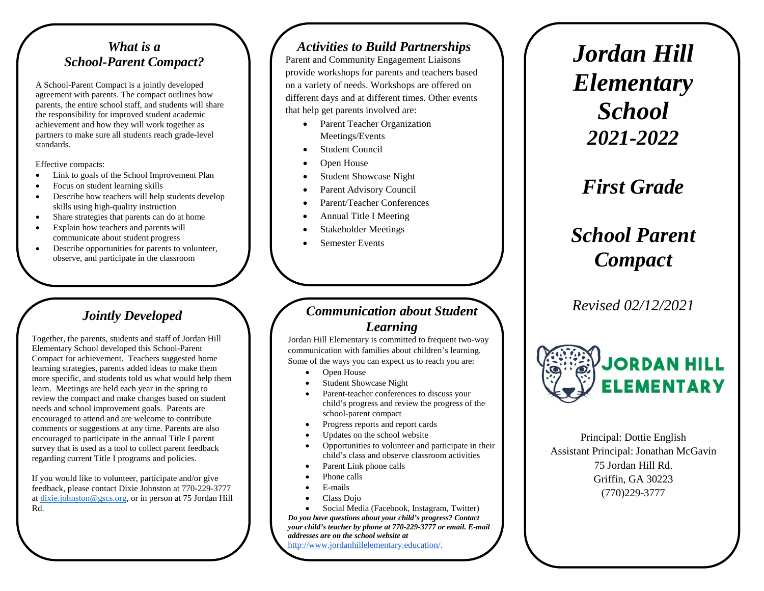#### *What is a School-Parent Compact?*

A School-Parent Compact is a jointly developed agreement with parents. The compact outlines how parents, the entire school staff, and students will share the responsibility for improved student academic achievement and how they will work together as partners to make sure all students reach grade-level standards.

Effective compacts:

- Link to goals of the School Improvement Plan
- Focus on student learning skills
- Describe how teachers will help students develop skills using high-quality instruction
- Share strategies that parents can do at home
- Explain how teachers and parents will communicate about student progress
- Describe opportunities for parents to volunteer, observe, and participate in the classroom

### *Jointly Developed*

Together, the parents, students and staff of Jordan Hill Elementary School developed this School-Parent Compact for achievement. Teachers suggested home learning strategies, parents added ideas to make them more specific, and students told us what would help them learn. Meetings are held each year in the spring to review the compact and make changes based on student needs and school improvement goals. Parents are encouraged to attend and are welcome to contribute comments or suggestions at any time. Parents are also encouraged to participate in the annual Title I parent survey that is used as a tool to collect parent feedback regarding current Title I programs and policies.

If you would like to volunteer, participate and/or give feedback, please contact Dixie Johnston at 770-229-3777 at dixie.johnston@gscs.org, or in person at 75 Jordan Hill Rd.

#### *Activities to Build Partnerships*

Parent and Community Engagement Liaisons provide workshops for parents and teachers based on a variety of needs. Workshops are offered on different days and at different times. Other events that help get parents involved are:

- Parent Teacher Organization Meetings/Events
- **Student Council**
- Open House
- Student Showcase Night
- Parent Advisory Council
- Parent/Teacher Conferences
- Annual Title I Meeting
- Stakeholder Meetings
- Semester Events

#### *Communication about Student Learning*

Jordan Hill Elementary is committed to frequent two-way communication with families about children's learning. Some of the ways you can expect us to reach you are:

- Open House
- Student Showcase Night
- Parent-teacher conferences to discuss your child's progress and review the progress of the school-parent compact
- Progress reports and report cards
- Updates on the school website
- Opportunities to volunteer and participate in their child's class and observe classroom activities
- Parent Link phone calls
- Phone calls
- E-mails
- Class Dojo
- Social Media (Facebook, Instagram, Twitter)

*Do you have questions about your child's progress? Contact your child's teacher by phone at 770-229-3777 or email. E-mail addresses are on the school website at*  http://www.jordanhillelementary.education/.

*Jordan Hill Elementary School 2021-2022*

*First Grade*

# *School Parent Compact*

*Revised 02/12/2021*



Principal: Dottie English Assistant Principal: Jonathan McGavin 75 Jordan Hill Rd. Griffin, GA 30223 (770)229-3777